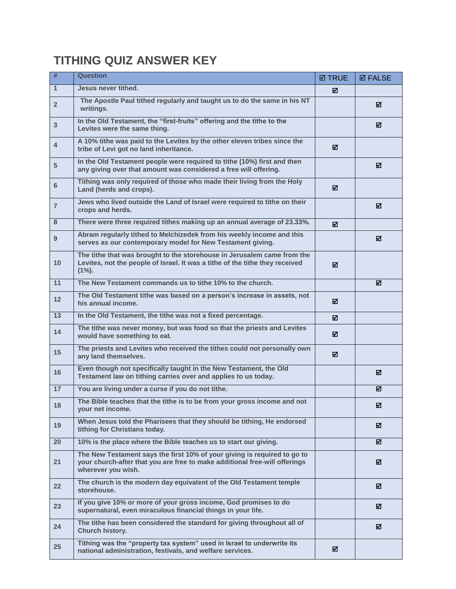## **TITHING QUIZ ANSWER KEY**

| #                 | <b>Question</b>                                                                                                                                                              | <b>Ø TRUE</b> | <b>ØFALSE</b> |
|-------------------|------------------------------------------------------------------------------------------------------------------------------------------------------------------------------|---------------|---------------|
| $\mathbf{1}$      | Jesus never tithed.                                                                                                                                                          | ☑             |               |
| $\overline{2}$    | The Apostle Paul tithed regularly and taught us to do the same in his NT<br>writings.                                                                                        |               | ☑             |
| $\mathbf{3}$      | In the Old Testament, the "first-fruits" offering and the tithe to the<br>Levites were the same thing.                                                                       |               | ☑             |
| $\overline{4}$    | A 10% tithe was paid to the Levites by the other eleven tribes since the<br>tribe of Levi got no land inheritance.                                                           | ☑             |               |
| $5\phantom{1}$    | In the Old Testament people were required to tithe (10%) first and then<br>any giving over that amount was considered a free will offering.                                  |               | ☑             |
| 6                 | Tithing was only required of those who made their living from the Holy<br>Land (herds and crops).                                                                            | ☑             |               |
| $\overline{7}$    | Jews who lived outside the Land of Israel were required to tithe on their<br>crops and herds.                                                                                |               | ☑             |
| 8                 | There were three required tithes making up an annual average of 23.33%.                                                                                                      | ☑             |               |
| 9                 | Abram regularly tithed to Melchizedek from his weekly income and this<br>serves as our contemporary model for New Testament giving.                                          |               | ⊠             |
| 10                | The tithe that was brought to the storehouse in Jerusalem came from the<br>Levites, not the people of Israel. It was a tithe of the tithe they received<br>$(1\%)$ .         | ☑             |               |
| 11                | The New Testament commands us to tithe 10% to the church.                                                                                                                    |               | ☑             |
| $12 \overline{ }$ | The Old Testament tithe was based on a person's increase in assets, not<br>his annual income.                                                                                | ☑             |               |
| 13                | In the Old Testament, the tithe was not a fixed percentage.                                                                                                                  | ☑             |               |
| 14                | The tithe was never money, but was food so that the priests and Levites<br>would have something to eat.                                                                      | ☑             |               |
| 15                | The priests and Levites who received the tithes could not personally own<br>any land themselves.                                                                             | ☑             |               |
| 16                | Even though not specifically taught in the New Testament, the Old<br>Testament law on tithing carries over and applies to us today.                                          |               | ⊠             |
| 17                | You are living under a curse if you do not tithe.                                                                                                                            |               | ☑             |
| 18                | The Bible teaches that the tithe is to be from your gross income and not<br>your net income.                                                                                 |               | N             |
| 19                | When Jesus told the Pharisees that they should be tithing, He endorsed<br>tithing for Christians today.                                                                      |               | ☑             |
| 20                | 10% is the place where the Bible teaches us to start our giving.                                                                                                             |               | ☑             |
| 21                | The New Testament says the first 10% of your giving is required to go to<br>your church-after that you are free to make additional free-will offerings<br>wherever you wish. |               | ☑             |
| 22                | The church is the modern day equivalent of the Old Testament temple<br>storehouse.                                                                                           |               | ☑             |
| 23                | If you give 10% or more of your gross income, God promises to do<br>supernatural, even miraculous financial things in your life.                                             |               | ☑             |
| 24                | The tithe has been considered the standard for giving throughout all of<br>Church history.                                                                                   |               | ⊠             |
| 25                | Tithing was the "property tax system" used in Israel to underwrite its<br>national administration, festivals, and welfare services.                                          | ☑             |               |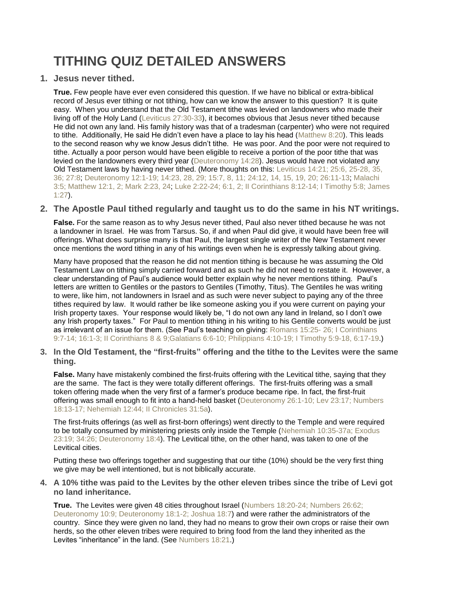# **TITHING QUIZ DETAILED ANSWERS**

**1. Jesus never tithed.**

**True.** Few people have ever even considered this question. If we have no biblical or extra-biblical record of Jesus ever tithing or not tithing, how can we know the answer to this question? It is quite easy. When you understand that the Old Testament tithe was levied on landowners who made their living off of the Holy Land (Leviticus [27:30-33\)](http://www.biblegateway.com/passage/?search=Leviticus%2027:30-33&version=NIV), it becomes obvious that Jesus never tithed because He did not own any land. His family history was that of a tradesman (carpenter) who were not required to tithe. Additionally, He said He didn't even have a place to lay his head [\(Matthew](http://www.biblegateway.com/passage/?search=Matthew%208:20&version=NIV) 8:20). This leads to the second reason why we know Jesus didn't tithe. He was poor. And the poor were not required to tithe. Actually a poor person would have been eligible to receive a portion of the poor tithe that was levied on the landowners every third year [\(Deuteronomy](http://www.biblegateway.com/passage/?search=Deuteronomy%2014:28&version=NIV) 14:28). Jesus would have not violated any Old Testament laws by having never tithed. (More thoughts on this: [Leviticus](http://www.biblegateway.com/passage/?search=Lev%2014:21;25:6,%2025-28,%2035,%2036;%2027:8&version=KJV) 14:21; 25:6, 25-28, 35, 36; [27:8;](http://www.biblegateway.com/passage/?search=Lev%2014:21;25:6,%2025-28,%2035,%2036;%2027:8&version=KJV) [Deuteronomy](http://www.biblegateway.com/passage/?search=Deu%2012:1-19;%2014:23,%2028-29;%2015:7-8,%2011;%2024:12,%2014-15,%2019-20;%2026:11-13&version=KJV) 12:1-19; 14:23, 28, 29; 15:7, 8, 11; 24:12, 14, 15, 19, 20; 26:11-13; [Malachi](http://www.biblegateway.com/passage/?search=Mal.%203:5;%20Matt.%2012:1,%202;%20Mark%202:23,%2024&version=KJV) 3:5; [Matthew](http://www.biblegateway.com/passage/?search=Mal.%203:5;%20Matt.%2012:1,%202;%20Mark%202:23,%2024&version=KJV) 12:1, 2; Mark 2:23, 24; Luke 2:22-24; 6:1, 2; II [Corinthians](http://www.biblegateway.com/passage/?search=Luke%202:22-24;%206:1-2;%202%20Cor.%208:12-14;%201%20Tim.%205:8;%20Jas.%201:27&version=KJV) 8:12-14; I Timothy 5:8; James [1:27\)](http://www.biblegateway.com/passage/?search=Luke%202:22-24;%206:1-2;%202%20Cor.%208:12-14;%201%20Tim.%205:8;%20Jas.%201:27&version=KJV).

### **2. The Apostle Paul tithed regularly and taught us to do the same in his NT writings.**

**False.** For the same reason as to why Jesus never tithed, Paul also never tithed because he was not a landowner in Israel. He was from Tarsus. So, if and when Paul did give, it would have been free will offerings. What does surprise many is that Paul, the largest single writer of the New Testament never once mentions the word tithing in any of his writings even when he is expressly talking about giving.

Many have proposed that the reason he did not mention tithing is because he was assuming the Old Testament Law on tithing simply carried forward and as such he did not need to restate it. However, a clear understanding of Paul's audience would better explain why he never mentions tithing. Paul's letters are written to Gentiles or the pastors to Gentiles (Timothy, Titus). The Gentiles he was writing to were, like him, not landowners in Israel and as such were never subject to paying any of the three tithes required by law. It would rather be like someone asking you if you were current on paying your Irish property taxes. Your response would likely be, "I do not own any land in Ireland, so I don't owe any Irish property taxes." For Paul to mention tithing in his writing to his Gentile converts would be just as irrelevant of an issue for them. (See Paul's teaching on giving: Romans 15:25- 26; I [Corinthians](http://www.biblegateway.com/passage/?search=Romans%2015:25-%2026;%20I%20Corinthians%209:7-14;%2016:1-3;%20&version=NIV) 9:7-14; [16:1-3;](http://www.biblegateway.com/passage/?search=Romans%2015:25-%2026;%20I%20Corinthians%209:7-14;%2016:1-3;%20&version=NIV) II [Corinthians](http://www.biblegateway.com/passage/?search=II%20Corinthians%208;9%20&version=NIV) 8 & 9;Galatians 6:6-10; [Philippians](http://www.biblegateway.com/passage/?search=II%20Corinthians%208;9%20&version=NIV) 4:10-19; I Timothy 5:9-18, 6:17-19.)

**3. In the Old Testament, the "first-fruits" offering and the tithe to the Levites were the same thing.**

**False.** Many have mistakenly combined the first-fruits offering with the Levitical tithe, saying that they are the same. The fact is they were totally different offerings. The first-fruits offering was a small token offering made when the very first of a farmer's produce became ripe. In fact, the first-fruit offering was small enough to fit into a hand-held basket [\(Deuteronomy](http://www.biblegateway.com/passage/?search=Deuteronomy%2026:1-10;%20Leviticus%2023:17;%20Numbers%2018:13-17;%20Nehemiah%2012:44;%202%20Chronicles%2031:5&version=KJV) 26:1-10; Lev 23:17; Numbers 18:13-17; Nehemiah 12:44; II [Chronicles](http://www.biblegateway.com/passage/?search=Deuteronomy%2026:1-10;%20Leviticus%2023:17;%20Numbers%2018:13-17;%20Nehemiah%2012:44;%202%20Chronicles%2031:5&version=KJV) 31:5a).

The first-fruits offerings (as well as first-born offerings) went directly to the Temple and were required to be totally consumed by ministering priests only inside the Temple [\(Nehemiah](http://www.biblegateway.com/passage/?search=Nehemiah%2010:35-37;%20Exodus%2023:19;%20Exodus%2034:26;%20Deuteronomy%2018:4&version=KJV) 10:35-37a; Exodus 23:19; 34:26; [Deuteronomy](http://www.biblegateway.com/passage/?search=Nehemiah%2010:35-37;%20Exodus%2023:19;%20Exodus%2034:26;%20Deuteronomy%2018:4&version=KJV) 18:4). The Levitical tithe, on the other hand, was taken to one of the Levitical cities.

Putting these two offerings together and suggesting that our tithe (10%) should be the very first thing we give may be well intentioned, but is not biblically accurate.

**4. A 10% tithe was paid to the Levites by the other eleven tribes since the tribe of Levi got no land inheritance.**

**True.** The Levites were given 48 cities throughout Israel [\(Numbers](http://www.biblegateway.com/passage/?search=Numbers%2018:20-24;%20Numbers%2026:62;%20Deuteronomy%2010:9;%20Deuteronomy%2018:1-2;%20Joshua%2018:7&version=NIV) 18:20-24; Numbers 26:62; Deuteronomy 10:9; [Deuteronomy](http://www.biblegateway.com/passage/?search=Numbers%2018:20-24;%20Numbers%2026:62;%20Deuteronomy%2010:9;%20Deuteronomy%2018:1-2;%20Joshua%2018:7&version=NIV) 18:1-2; Joshua 18:7) and were rather the administrators of the country. Since they were given no land, they had no means to grow their own crops or raise their own herds, so the other eleven tribes were required to bring food from the land they inherited as the Levites "inheritance" in the land. (See [Numbers](http://www.biblegateway.com/passage/?search=Numbers%2018:21&version=NIV) 18:21.)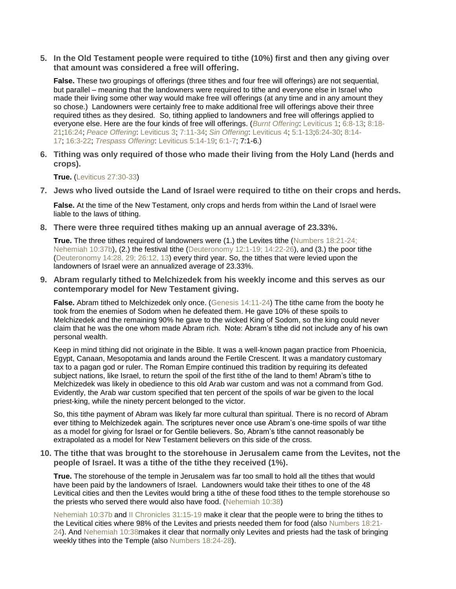**5. In the Old Testament people were required to tithe (10%) first and then any giving over that amount was considered a free will offering.**

**False.** These two groupings of offerings (three tithes and four free will offerings) are not sequential, but parallel – meaning that the landowners were required to tithe and everyone else in Israel who made their living some other way would make free will offerings (at any time and in any amount they so chose.) Landowners were certainly free to make additional free will offerings above their three required tithes as they desired. So, tithing applied to landowners and free will offerings applied to everyone else. Here are the four kinds of free will offerings. (*Burnt [Offering](http://www3.telus.net/public/kstam/en/tabernacle/study/burnt_offering.htm?study=on)*: [Leviticus](http://www3.telus.net/public/kstam/en/tabernacle/bible.htm?passage=Lev+1) 1; [6:8-13;](http://www3.telus.net/public/kstam/en/tabernacle/bible.htm?passage=Lev+6:8-13) [8:18-](http://www3.telus.net/public/kstam/en/tabernacle/bible.htm?passage=Lev+8:18-21) [21;](http://www3.telus.net/public/kstam/en/tabernacle/bible.htm?passage=Lev+8:18-21)[16:24;](http://www3.telus.net/public/kstam/en/tabernacle/bible.htm?passage=Lev+16:24) *Peace [Offering](http://www3.telus.net/public/kstam/en/tabernacle/study/peace_offering.htm?study=on)*: [Leviticus](http://www3.telus.net/public/kstam/en/tabernacle/bible.htm?passage=Lev+3) 3; [7:11-34;](http://www3.telus.net/public/kstam/en/tabernacle/bible.htm?passage=Lev+7:11-34) *Sin [Offering](http://www3.telus.net/public/kstam/en/tabernacle/study/sin_offering.htm?study=on)*: [Leviticus](http://www3.telus.net/public/kstam/en/tabernacle/bible.htm?passage=Lev+4) 4; [5:1-13;](http://www3.telus.net/public/kstam/en/tabernacle/bible.htm?passage=Lev+5:1-13)[6:24-30;](http://www3.telus.net/public/kstam/en/tabernacle/bible.htm?passage=Lev+6:24-30) [8:14-](http://www3.telus.net/public/kstam/en/tabernacle/bible.htm?passage=Lev+8:14-17) [17;](http://www3.telus.net/public/kstam/en/tabernacle/bible.htm?passage=Lev+8:14-17) [16:3-22;](http://www3.telus.net/public/kstam/en/tabernacle/bible.htm?passage=Lev+16:3-22) *[Trespass](http://www3.telus.net/public/kstam/en/tabernacle/study/trespass_offering.htm?study=on) Offering*: [Leviticus](http://www3.telus.net/public/kstam/en/tabernacle/bible.htm?passage=Lev+5:14-19) 5:14-19; [6:1-7;](http://www3.telus.net/public/kstam/en/tabernacle/bible.htm?passage=Lev+6:1-7) 7:1-6.)

**6. Tithing was only required of those who made their living from the Holy Land (herds and crops).**

**True.** (Leviticus [27:30-33\)](http://www.biblegateway.com/passage/?search=Leviticus%2027:30-33&version=NIV)

**7. Jews who lived outside the Land of Israel were required to tithe on their crops and herds.**

**False.** At the time of the New Testament, only crops and herds from within the Land of Israel were liable to the laws of tithing.

**8. There were three required tithes making up an annual average of 23.33%.**

**True.** The three tithes required of landowners were (1.) the Levites tithe [\(Numbers](http://www.biblegateway.com/passage/?search=Numbers%2018:21-24;%20Nehemiah%2010:37&version=KJV) 18:21-24; [Nehemiah](http://www.biblegateway.com/passage/?search=Numbers%2018:21-24;%20Nehemiah%2010:37&version=KJV) 10:37b), (2.) the festival tithe [\(Deuteronomy](http://www.biblegateway.com/passage/?search=Deuteronomy%2012:1-19;%20Deuteronomy%2014:22-26&version=KJV) 12:1-19; 14:22-26), and (3.) the poor tithe [\(Deuteronomy](http://www.biblegateway.com/passage/?search=Deuteronomy%2014:28-29;Deuteronomy%2026:12-13&version=KJV) 14:28, 29; 26:12, 13) every third year. So, the tithes that were levied upon the landowners of Israel were an annualized average of 23.33%.

**9. Abram regularly tithed to Melchizedek from his weekly income and this serves as our contemporary model for New Testament giving.**

**False.** Abram tithed to Melchizedek only once. (Genesis [14:11-24\)](http://www.biblegateway.com/passage/?search=Genesis%2014:11-24&version=NIV) The tithe came from the booty he took from the enemies of Sodom when he defeated them. He gave 10% of these spoils to Melchizedek and the remaining 90% he gave to the wicked King of Sodom, so the king could never claim that he was the one whom made Abram rich. Note: Abram's tithe did not include any of his own personal wealth.

Keep in mind tithing did not originate in the Bible. It was a well-known pagan practice from Phoenicia, Egypt, Canaan, Mesopotamia and lands around the Fertile Crescent. It was a mandatory customary tax to a pagan god or ruler. The Roman Empire continued this tradition by requiring its defeated subject nations, like Israel, to return the spoil of the first tithe of the land to them! Abram's tithe to Melchizedek was likely in obedience to this old Arab war custom and was not a command from God. Evidently, the Arab war custom specified that ten percent of the spoils of war be given to the local priest-king, while the ninety percent belonged to the victor.

So, this tithe payment of Abram was likely far more cultural than spiritual. There is no record of Abram ever tithing to Melchizedek again. The scriptures never once use Abram's one-time spoils of war tithe as a model for giving for Israel or for Gentile believers. So, Abram's tithe cannot reasonably be extrapolated as a model for New Testament believers on this side of the cross.

**10. The tithe that was brought to the storehouse in Jerusalem came from the Levites, not the people of Israel. It was a tithe of the tithe they received (1%).**

**True.** The storehouse of the temple in Jerusalem was far too small to hold all the tithes that would have been paid by the landowners of Israel. Landowners would take their tithes to one of the 48 Levitical cities and then the Levites would bring a tithe of these food tithes to the temple storehouse so the priests who served there would also have food. [\(Nehemiah](http://www.biblegateway.com/passage/?search=Nehemiah%2010:38&version=NIV) 10:38)

[Nehemiah](http://www.biblegateway.com/passage/?search=Nehemiah%2010:37&version=KJV) 10:37b and II [Chronicles](http://www.biblegateway.com/passage/?search=2%20Chronicles%2031:15-19&version=KJV) 31:15-19 make it clear that the people were to bring the tithes to the Levitical cities where 98% of the Levites and priests needed them for food (also [Numbers](http://www.biblegateway.com/passage/?search=Numbers%2018:21-24&version=KJV) 18:21- [24\)](http://www.biblegateway.com/passage/?search=Numbers%2018:21-24&version=KJV). And [Nehemiah](http://www.biblegateway.com/passage/?search=Nehemiah%2010:38&version=KJV) 10:38makes it clear that normally only Levites and priests had the task of bringing weekly tithes into the Temple (also Numbers [18:24-28\)](http://www.biblegateway.com/passage/?search=Numbers%2018:24-28&version=KJV).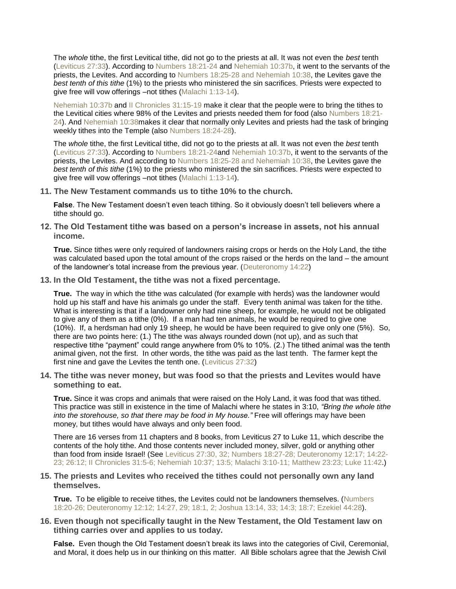The *whole* tithe, the first Levitical tithe, did not go to the priests at all. It was not even the *best* tenth [\(Leviticus](http://www.biblegateway.com/passage/?search=Leviticus%2027:30-33&version=KJV) 27:33). According to [Numbers](http://www.biblegateway.com/passage/?search=Numbers%2018:21-24&version=KJV) 18:21-24 and [Nehemiah](http://www.biblegateway.com/passage/?search=Nehemiah%2010:37&version=NIV) 10:37b, it went to the servants of the priests, the Levites. And according to Numbers 18:25-28 and [Nehemiah](http://www.biblegateway.com/passage/?search=Numbers%2018:25-32;Nehemiah%2010:38&version=KJV) 10:38, the Levites gave the *best tenth of this tithe* (1%) to the priests who ministered the sin sacrifices. Priests were expected to give free will vow offerings –not tithes [\(Malachi](http://www.biblegateway.com/passage/?search=Mal.%201:12-14&version=KJV) 1:13-14).

[Nehemiah](http://www.biblegateway.com/passage/?search=Nehemiah%2010:37&version=KJV) 10:37b and II [Chronicles](http://www.biblegateway.com/passage/?search=2%20Chronicles%2031:15-19&version=KJV) 31:15-19 make it clear that the people were to bring the tithes to the Levitical cities where 98% of the Levites and priests needed them for food (also [Numbers](http://www.biblegateway.com/passage/?search=Numbers%2018:21-24&version=KJV) 18:21- [24\)](http://www.biblegateway.com/passage/?search=Numbers%2018:21-24&version=KJV). And [Nehemiah](http://www.biblegateway.com/passage/?search=Nehemiah%2010:38&version=KJV) 10:38makes it clear that normally only Levites and priests had the task of bringing weekly tithes into the Temple (also Numbers [18:24-28\)](http://www.biblegateway.com/passage/?search=Numbers%2018:24-28&version=KJV).

The *whole* tithe, the first Levitical tithe, did not go to the priests at all. It was not even the *best* tenth [\(Leviticus](http://www.biblegateway.com/passage/?search=Leviticus%2027:30-33&version=KJV) 27:33). According to Numbers [18:21-24a](http://www.biblegateway.com/passage/?search=Numbers%2018:21-24&version=KJV)nd [Nehemiah](http://www.biblegateway.com/passage/?search=Nehemiah%2010:37&version=NIV) 10:37b, it went to the servants of the priests, the Levites. And according to Numbers 18:25-28 and [Nehemiah](http://www.biblegateway.com/passage/?search=Numbers%2018:25-32;Nehemiah%2010:38&version=KJV) 10:38, the Levites gave the *best tenth of this tithe* (1%) to the priests who ministered the sin sacrifices. Priests were expected to give free will vow offerings –not tithes [\(Malachi](http://www.biblegateway.com/passage/?search=Mal.%201:12-14&version=KJV) 1:13-14).

**11. The New Testament commands us to tithe 10% to the church.**

**False**. The New Testament doesn't even teach tithing. So it obviously doesn't tell believers where a tithe should go.

**12. The Old Testament tithe was based on a person's increase in assets, not his annual income.**

**True.** Since tithes were only required of landowners raising crops or herds on the Holy Land, the tithe was calculated based upon the total amount of the crops raised or the herds on the land – the amount of the landowner's total increase from the previous year. [\(Deuteronomy](http://www.biblegateway.com/passage/?search=Deuteronomy%2014:22&version=NIV) 14:22)

**13. In the Old Testament, the tithe was not a fixed percentage.**

**True.** The way in which the tithe was calculated (for example with herds) was the landowner would hold up his staff and have his animals go under the staff. Every tenth animal was taken for the tithe. What is interesting is that if a landowner only had nine sheep, for example, he would not be obligated to give any of them as a tithe (0%). If a man had ten animals, he would be required to give one (10%). If, a herdsman had only 19 sheep, he would be have been required to give only one (5%). So, there are two points here: (1.) The tithe was always rounded down (not up), and as such that respective tithe "payment" could range anywhere from 0% to 10%. (2.) The tithed animal was the tenth animal given, not the first. In other words, the tithe was paid as the last tenth. The farmer kept the first nine and gave the Levites the tenth one. [\(Leviticus](http://www.biblegateway.com/passage/?search=Leviticus%2027:32&version=NIV) 27:32)

**14. The tithe was never money, but was food so that the priests and Levites would have something to eat.**

**True.** Since it was crops and animals that were raised on the Holy Land, it was food that was tithed. This practice was still in existence in the time of Malachi where he states in 3:10, *"Bring the whole tithe into the storehouse, so that there may be food in My house."* Free will offerings may have been money, but tithes would have always and only been food.

There are 16 verses from 11 chapters and 8 books, from Leviticus 27 to Luke 11, which describe the contents of the holy tithe. And those contents never included money, silver, gold or anything other than food from inside Israel! (See Leviticus 27:30, 32; Numbers 18:27-28; [Deuteronomy](http://www.biblegateway.com/passage/?search=Lev.%2027:30,%2032;%20Num.%2018:27-28;%20Deut.%2012:17;%2014:22-23;%2026:12;%202%20Chron.%2031:5-6;%20Neh.%2010:37;%2013:5;%20Mal.%203:10-11;%20Matt.%2023:23;%20Luke%2011:42&version=KJV) 12:17; 14:22- 23; 26:12; II [Chronicles](http://www.biblegateway.com/passage/?search=Lev.%2027:30,%2032;%20Num.%2018:27-28;%20Deut.%2012:17;%2014:22-23;%2026:12;%202%20Chron.%2031:5-6;%20Neh.%2010:37;%2013:5;%20Mal.%203:10-11;%20Matt.%2023:23;%20Luke%2011:42&version=KJV) 31:5-6; Nehemiah 10:37; 13:5; Malachi 3:10-11; Matthew 23:23; Luke 11:42.)

#### **15. The priests and Levites who received the tithes could not personally own any land themselves.**

**True.** To be eligible to receive tithes, the Levites could not be landowners themselves. [\(Numbers](http://www.biblegateway.com/passage/?search=Num%2018:20-26;%20Deut%2012:12;%2014:27;%2014:29;%2018:1;%2018:2;%20Josh%2013:14;%2013:33;%2014:3;%2018:7;%20Ezek%2044:28&version=KJV) 18:20-26; [Deuteronomy](http://www.biblegateway.com/passage/?search=Num%2018:20-26;%20Deut%2012:12;%2014:27;%2014:29;%2018:1;%2018:2;%20Josh%2013:14;%2013:33;%2014:3;%2018:7;%20Ezek%2044:28&version=KJV) 12:12; 14:27, 29; 18:1, 2; Joshua 13:14, 33; 14:3; 18:7; Ezekiel 44:28).

**16. Even though not specifically taught in the New Testament, the Old Testament law on tithing carries over and applies to us today.**

**False.** Even though the Old Testament doesn't break its laws into the categories of Civil, Ceremonial, and Moral, it does help us in our thinking on this matter. All Bible scholars agree that the Jewish Civil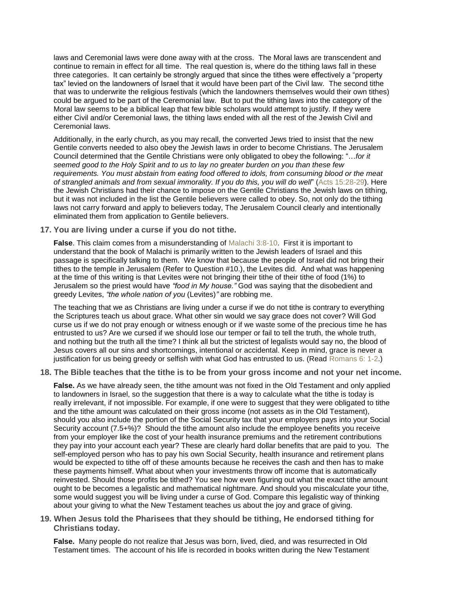laws and Ceremonial laws were done away with at the cross. The Moral laws are transcendent and continue to remain in effect for all time. The real question is, where do the tithing laws fall in these three categories. It can certainly be strongly argued that since the tithes were effectively a "property tax" levied on the landowners of Israel that it would have been part of the Civil law. The second tithe that was to underwrite the religious festivals (which the landowners themselves would their own tithes) could be argued to be part of the Ceremonial law. But to put the tithing laws into the category of the Moral law seems to be a biblical leap that few bible scholars would attempt to justify. If they were either Civil and/or Ceremonial laws, the tithing laws ended with all the rest of the Jewish Civil and Ceremonial laws.

Additionally, in the early church, as you may recall, the converted Jews tried to insist that the new Gentile converts needed to also obey the Jewish laws in order to become Christians. The Jerusalem Council determined that the Gentile Christians were only obligated to obey the following: "…*for it seemed good to the Holy Spirit and to us to lay no greater burden on you than these few requirements. You must abstain from eating food offered to idols, from consuming blood or the meat of strangled animals and from sexual immorality. If you do this, you will do well*" (Acts [15:28-29\)](http://www.biblegateway.com/passage/?search=Acts%2015:28-29&version=NIV). Here the Jewish Christians had their chance to impose on the Gentile Christians the Jewish laws on tithing, but it was not included in the list the Gentile believers were called to obey. So, not only do the tithing laws not carry forward and apply to believers today, The Jerusalem Council clearly and intentionally eliminated them from application to Gentile believers.

#### **17. You are living under a curse if you do not tithe.**

**False**. This claim comes from a misunderstanding of [Malachi](http://www.biblegateway.com/passage/?search=Malachi%203:8-10&version=NIV) 3:8-10. First it is important to understand that the book of Malachi is primarily written to the Jewish leaders of Israel and this passage is specifically talking to them. We know that because the people of Israel did not bring their tithes to the temple in Jerusalem (Refer to Question #10.), the Levites did. And what was happening at the time of this writing is that Levites were not bringing their tithe of their tithe of food (1%) to Jerusalem so the priest would have *"food in My house."* God was saying that the disobedient and greedy Levites, *"the whole nation of you* (Levites)*"* are robbing me.

The teaching that we as Christians are living under a curse if we do not tithe is contrary to everything the Scriptures teach us about grace. What other sin would we say grace does not cover? Will God curse us if we do not pray enough or witness enough or if we waste some of the precious time he has entrusted to us? Are we cursed if we should lose our temper or fail to tell the truth, the whole truth, and nothing but the truth all the time? I think all but the strictest of legalists would say no, the blood of Jesus covers all our sins and shortcomings, intentional or accidental. Keep in mind, grace is never a justification for us being greedy or selfish with what God has entrusted to us. (Read [Romans](http://www.biblegateway.com/passage/?search=Romans%206:%201-2&version=NIV) 6: 1-2.)

#### **18. The Bible teaches that the tithe is to be from your gross income and not your net income.**

**False.** As we have already seen, the tithe amount was not fixed in the Old Testament and only applied to landowners in Israel, so the suggestion that there is a way to calculate what the tithe is today is really irrelevant, if not impossible. For example, if one were to suggest that they were obligated to tithe and the tithe amount was calculated on their gross income (not assets as in the Old Testament), should you also include the portion of the Social Security tax that your employers pays into your Social Security account (7.5+%)? Should the tithe amount also include the employee benefits you receive from your employer like the cost of your health insurance premiums and the retirement contributions they pay into your account each year? These are clearly hard dollar benefits that are paid to you. The self-employed person who has to pay his own Social Security, health insurance and retirement plans would be expected to tithe off of these amounts because he receives the cash and then has to make these payments himself. What about when your investments throw off income that is automatically reinvested. Should those profits be tithed? You see how even figuring out what the exact tithe amount ought to be becomes a legalistic and mathematical nightmare. And should you miscalculate your tithe, some would suggest you will be living under a curse of God. Compare this legalistic way of thinking about your giving to what the New Testament teaches us about the joy and grace of giving.

#### **19. When Jesus told the Pharisees that they should be tithing, He endorsed tithing for Christians today.**

**False.** Many people do not realize that Jesus was born, lived, died, and was resurrected in Old Testament times. The account of his life is recorded in books written during the New Testament